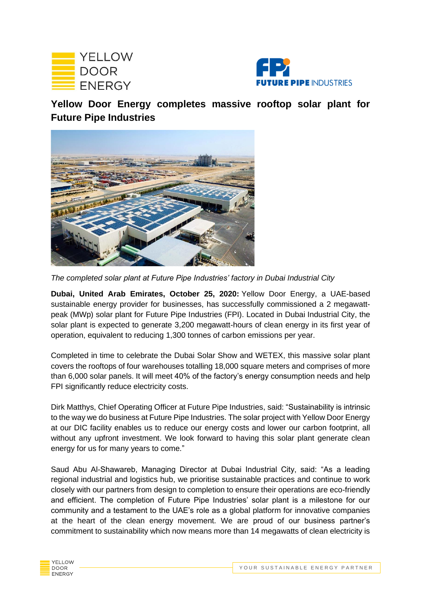



**Yellow Door Energy completes massive rooftop solar plant for Future Pipe Industries** 



*The completed solar plant at Future Pipe Industries' factory in Dubai Industrial City* 

**Dubai, United Arab Emirates, October 25, 2020:** Yellow Door Energy, a UAE-based sustainable energy provider for businesses, has successfully commissioned a 2 megawattpeak (MWp) solar plant for Future Pipe Industries (FPI). Located in Dubai Industrial City, the solar plant is expected to generate 3,200 megawatt-hours of clean energy in its first year of operation, equivalent to reducing 1,300 tonnes of carbon emissions per year.

Completed in time to celebrate the Dubai Solar Show and WETEX, this massive solar plant covers the rooftops of four warehouses totalling 18,000 square meters and comprises of more than 6,000 solar panels. It will meet 40% of the factory's energy consumption needs and help FPI significantly reduce electricity costs.

Dirk Matthys, Chief Operating Officer at Future Pipe Industries, said: "Sustainability is intrinsic to the way we do business at Future Pipe Industries. The solar project with Yellow Door Energy at our DIC facility enables us to reduce our energy costs and lower our carbon footprint, all without any upfront investment. We look forward to having this solar plant generate clean energy for us for many years to come."

Saud Abu Al-Shawareb, Managing Director at Dubai Industrial City, said: "As a leading regional industrial and logistics hub, we prioritise sustainable practices and continue to work closely with our partners from design to completion to ensure their operations are eco-friendly and efficient. The completion of Future Pipe Industries' solar plant is a milestone for our community and a testament to the UAE's role as a global platform for innovative companies at the heart of the clean energy movement. We are proud of our business partner's commitment to sustainability which now means more than 14 megawatts of clean electricity is

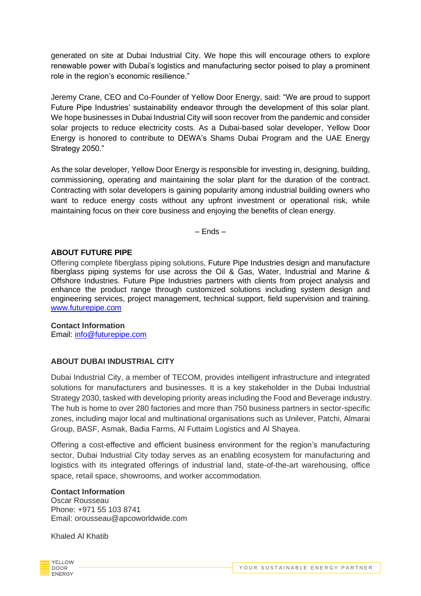generated on site at Dubai Industrial City. We hope this will encourage others to explore renewable power with Dubai's logistics and manufacturing sector poised to play a prominent role in the region's economic resilience."

Jeremy Crane, CEO and Co-Founder of Yellow Door Energy, said: "We are proud to support Future Pipe Industries' sustainability endeavor through the development of this solar plant. We hope businesses in Dubai Industrial City will soon recover from the pandemic and consider solar projects to reduce electricity costs. As a Dubai-based solar developer, Yellow Door Energy is honored to contribute to DEWA's Shams Dubai Program and the UAE Energy Strategy 2050."

As the solar developer, Yellow Door Energy is responsible for investing in, designing, building, commissioning, operating and maintaining the solar plant for the duration of the contract. Contracting with solar developers is gaining popularity among industrial building owners who want to reduce energy costs without any upfront investment or operational risk, while maintaining focus on their core business and enjoying the benefits of clean energy.

– Ends –

# **ABOUT FUTURE PIPE**

Offering complete fiberglass piping solutions, Future Pipe Industries design and manufacture fiberglass piping systems for use across the Oil & Gas, Water, Industrial and Marine & Offshore Industries. Future Pipe Industries partners with clients from project analysis and enhance the product range through customized solutions including system design and engineering services, project management, technical support, field supervision and training. [www.futurepipe.com](about:blank)

# **Contact Information**

Email: [info@futurepipe.com](about:blank)

# **ABOUT DUBAI INDUSTRIAL CITY**

Dubai Industrial City, a member of TECOM, provides intelligent infrastructure and integrated solutions for manufacturers and businesses. It is a key stakeholder in the Dubai Industrial Strategy 2030, tasked with developing priority areas including the Food and Beverage industry. The hub is home to over 280 factories and more than 750 business partners in sector-specific zones, including major local and multinational organisations such as Unilever, Patchi, Almarai Group, BASF, Asmak, Badia Farms, Al Futtaim Logistics and Al Shayea.

Offering a cost-effective and efficient business environment for the region's manufacturing sector, Dubai Industrial City today serves as an enabling ecosystem for manufacturing and logistics with its integrated offerings of industrial land, state-of-the-art warehousing, office space, retail space, showrooms, and worker accommodation.

## **Contact Information**

Oscar Rousseau Phone: +971 55 103 8741 Email: orousseau@apcoworldwide.com

Khaled Al Khatib